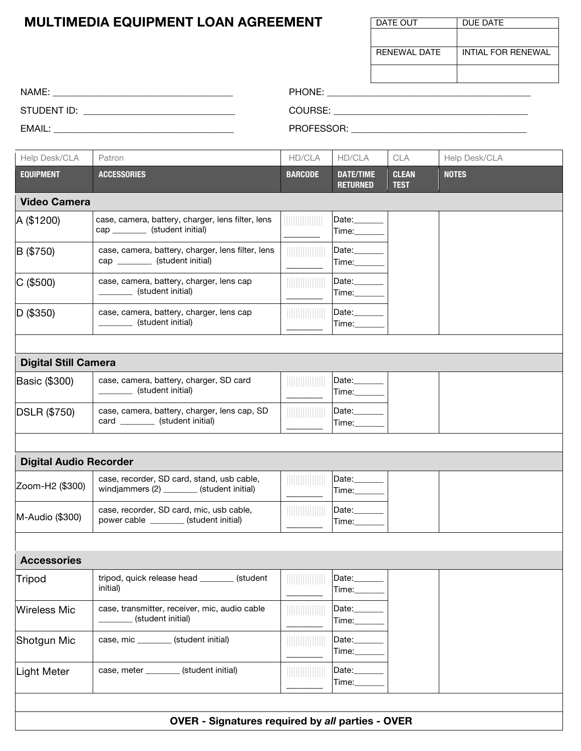## **MULTIMEDIA EQUIPMENT LOAN AGREEMENT**

| DATE OUT     | DUE DATE           |
|--------------|--------------------|
|              |                    |
| RENEWAL DATE | INTIAL FOR RENEWAL |
|              |                    |
|              |                    |

| NAME:        | PHONE:     |
|--------------|------------|
| STUDENT ID:  | COURSE.    |
| <b>EMAIL</b> | PROFESSOR: |

| Help Desk/CLA                 | Patron                                                                                   | HD/CLA         | HD/CLA                              | <b>CLA</b>                  | Help Desk/CLA |
|-------------------------------|------------------------------------------------------------------------------------------|----------------|-------------------------------------|-----------------------------|---------------|
| <b>EQUIPMENT</b>              | <b>ACCESSORIES</b>                                                                       | <b>BARCODE</b> | <b>DATE/TIME</b><br><b>RETURNED</b> | <b>CLEAN</b><br><b>TEST</b> | <b>NOTES</b>  |
| <b>Video Camera</b>           |                                                                                          |                |                                     |                             |               |
| A (\$1200)                    | case, camera, battery, charger, lens filter, lens<br>cap ___________ (student initial)   |                | Date:______<br>Time:                |                             |               |
| B (\$750)                     | case, camera, battery, charger, lens filter, lens<br>cap _________ (student initial)     |                | Date:<br>Time:_____                 |                             |               |
| $C$ (\$500)                   | case, camera, battery, charger, lens cap<br>(student initial)                            |                | Date:______<br>Time:_____           |                             |               |
| D (\$350)                     | case, camera, battery, charger, lens cap<br>(student initial)                            |                | Date:______<br>Time:_____           |                             |               |
|                               |                                                                                          |                |                                     |                             |               |
| <b>Digital Still Camera</b>   |                                                                                          |                |                                     |                             |               |
| Basic (\$300)                 | case, camera, battery, charger, SD card<br>(student initial)                             |                | Date:<br>Time:______                |                             |               |
| DSLR (\$750)                  | case, camera, battery, charger, lens cap, SD<br>card __________ (student initial)        |                | Date:_______<br>Time:_____          |                             |               |
|                               |                                                                                          |                |                                     |                             |               |
| <b>Digital Audio Recorder</b> |                                                                                          |                |                                     |                             |               |
| Zoom-H2 (\$300)               | case, recorder, SD card, stand, usb cable,<br>windjammers (2) ________ (student initial) |                | Date:_______<br>Time:______         |                             |               |
| M-Audio (\$300)               | case, recorder, SD card, mic, usb cable,<br>power cable _______ (student initial)        |                | Date:_______<br>Time:_______        |                             |               |
|                               |                                                                                          |                |                                     |                             |               |
| <b>Accessories</b>            |                                                                                          |                |                                     |                             |               |
| Tripod                        | tripod, quick release head _______<br>(student<br>initial)                               |                | Date:____<br>Time:___               |                             |               |
| <b>Wireless Mic</b>           | case, transmitter, receiver, mic, audio cable<br>(student initial)                       |                | Date:<br>Time:                      |                             |               |
| Shotgun Mic                   | case, mic _______ (student initial)                                                      |                | Date:<br>Time: T                    |                             |               |
| <b>Light Meter</b>            | case, meter _______ (student initial)                                                    |                | Date:<br>Time:                      |                             |               |
|                               |                                                                                          |                |                                     |                             |               |
|                               | OVER - Signatures required by all parties - OVER                                         |                |                                     |                             |               |

**OVER - Signatures required by** *all* **parties - OVER**